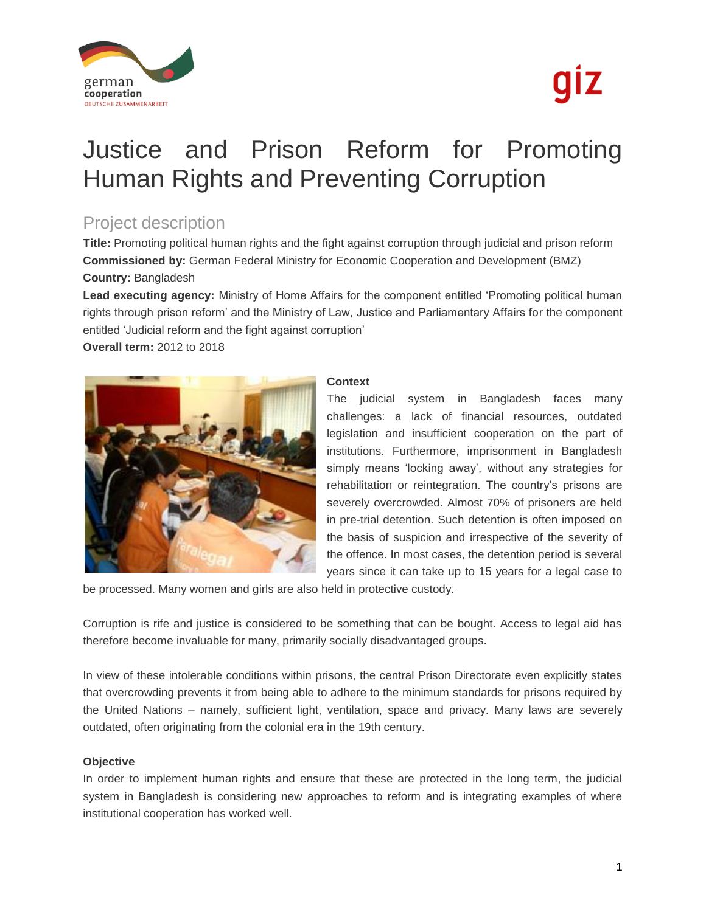

# qız

## Justice and Prison Reform for Promoting Human Rights and Preventing Corruption

### Project description

**Title:** Promoting political human rights and the fight against corruption through judicial and prison reform **Commissioned by:** German Federal Ministry for Economic Cooperation and Development (BMZ) **Country:** Bangladesh

**Lead executing agency:** Ministry of Home Affairs for the component entitled 'Promoting political human rights through prison reform' and the Ministry of Law, Justice and Parliamentary Affairs for the component entitled 'Judicial reform and the fight against corruption'

**Overall term:** 2012 to 2018



#### **Context**

The judicial system in Bangladesh faces many challenges: a lack of financial resources, outdated legislation and insufficient cooperation on the part of institutions. Furthermore, imprisonment in Bangladesh simply means 'locking away', without any strategies for rehabilitation or reintegration. The country's prisons are severely overcrowded. Almost 70% of prisoners are held in pre-trial detention. Such detention is often imposed on the basis of suspicion and irrespective of the severity of the offence. In most cases, the detention period is several years since it can take up to 15 years for a legal case to

be processed. Many women and girls are also held in protective custody.

Corruption is rife and justice is considered to be something that can be bought. Access to legal aid has therefore become invaluable for many, primarily socially disadvantaged groups.

In view of these intolerable conditions within prisons, the central Prison Directorate even explicitly states that overcrowding prevents it from being able to adhere to the minimum standards for prisons required by the United Nations – namely, sufficient light, ventilation, space and privacy. Many laws are severely outdated, often originating from the colonial era in the 19th century.

#### **Objective**

In order to implement human rights and ensure that these are protected in the long term, the judicial system in Bangladesh is considering new approaches to reform and is integrating examples of where institutional cooperation has worked well.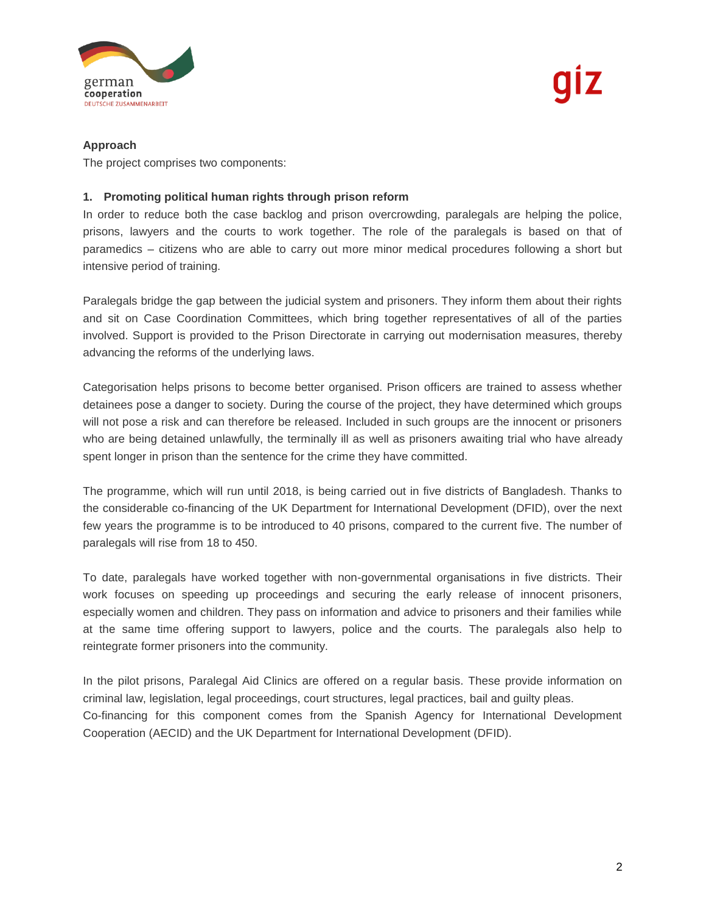

#### **Approach**

The project comprises two components:

#### **1. Promoting political human rights through prison reform**

In order to reduce both the case backlog and prison overcrowding, paralegals are helping the police, prisons, lawyers and the courts to work together. The role of the paralegals is based on that of paramedics – citizens who are able to carry out more minor medical procedures following a short but intensive period of training.

Paralegals bridge the gap between the judicial system and prisoners. They inform them about their rights and sit on Case Coordination Committees, which bring together representatives of all of the parties involved. Support is provided to the Prison Directorate in carrying out modernisation measures, thereby advancing the reforms of the underlying laws.

Categorisation helps prisons to become better organised. Prison officers are trained to assess whether detainees pose a danger to society. During the course of the project, they have determined which groups will not pose a risk and can therefore be released. Included in such groups are the innocent or prisoners who are being detained unlawfully, the terminally ill as well as prisoners awaiting trial who have already spent longer in prison than the sentence for the crime they have committed.

The programme, which will run until 2018, is being carried out in five districts of Bangladesh. Thanks to the considerable co-financing of the UK Department for International Development (DFID), over the next few years the programme is to be introduced to 40 prisons, compared to the current five. The number of paralegals will rise from 18 to 450.

To date, paralegals have worked together with non-governmental organisations in five districts. Their work focuses on speeding up proceedings and securing the early release of innocent prisoners, especially women and children. They pass on information and advice to prisoners and their families while at the same time offering support to lawyers, police and the courts. The paralegals also help to reintegrate former prisoners into the community.

In the pilot prisons, Paralegal Aid Clinics are offered on a regular basis. These provide information on criminal law, legislation, legal proceedings, court structures, legal practices, bail and guilty pleas. Co-financing for this component comes from the Spanish Agency for International Development Cooperation (AECID) and the UK Department for International Development (DFID).